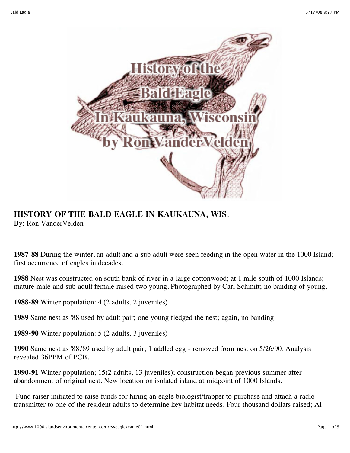

## **HISTORY OF THE BALD EAGLE IN KAUKAUNA, WIS**.

By: Ron VanderVelden

**1987-88** During the winter, an adult and a sub adult were seen feeding in the open water in the 1000 Island; first occurrence of eagles in decades.

**1988** Nest was constructed on south bank of river in a large cottonwood; at 1 mile south of 1000 Islands; mature male and sub adult female raised two young. Photographed by Carl Schmitt; no banding of young.

**1988-89** Winter population: 4 (2 adults, 2 juveniles)

**1989** Same nest as '88 used by adult pair; one young fledged the nest; again, no banding.

**1989-90** Winter population: 5 (2 adults, 3 juveniles)

**1990** Same nest as '88,'89 used by adult pair; 1 addled egg - removed from nest on 5/26/90. Analysis revealed 36PPM of PCB.

**1990-91** Winter population; 15(2 adults, 13 juveniles); construction began previous summer after abandonment of original nest. New location on isolated island at midpoint of 1000 Islands.

 Fund raiser initiated to raise funds for hiring an eagle biologist/trapper to purchase and attach a radio transmitter to one of the resident adults to determine key habitat needs. Four thousand dollars raised; Al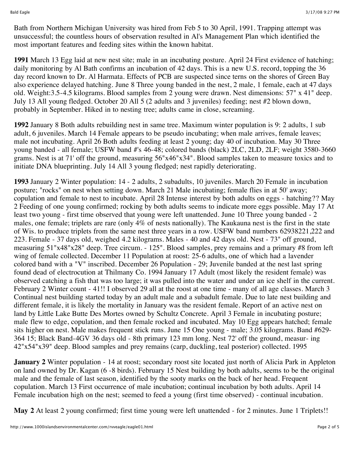Bath from Northern Michigan University was hired from Feb 5 to 30 April, 1991. Trapping attempt was unsuccessful; the countless hours of observation resulted in Al's Management Plan which identified the most important features and feeding sites within the known habitat.

**1991** March 13 Egg laid at new nest site; male in an incubating posture. April 24 First evidence of hatching; daily monitoring by Al Bath confirms an incubation of 42 days. This is a new U.S. record, topping the 36 day record known to Dr. Al Harmata. Effects of PCB are suspected since terns on the shores of Green Bay also experience delayed hatching. June 8 Three young banded in the nest, 2 male, 1 female, each at 47 days old. Weight:3.5-4.5 kilograms. Blood samples from 2 young were drawn. Nest dimensions: 57" x 41" deep. July 13 All young fledged. October 20 All 5 (2 adults and 3 juveniles) feeding; nest #2 blown down, probably in September. Hiked in to nesting tree; adults came in close, screaming.

**1992** January 8 Both adults rebuilding nest in same tree. Maximum winter population is 9: 2 adults, 1 sub adult, 6 juveniles. March 14 Female appears to be pseudo incubating; when male arrives, female leaves; male not incubating. April 26 Both adults feeding at least 2 young; day 40 of incubation. May 30 Three young banded - all female; USFW band #'s 46-48; colored bands (black) 2LC, 2LD, 2LF; weight 3580-3660 grams. Nest is at 71' off the ground, measuring 56"x46"x34". Blood samples taken to measure toxics and to initiate DNA blueprinting. July 14 All 3 young fledged; nest rapidly deteriorating.

**1993** January 2 Winter population: 14 - 2 adults, 2 subadults, 10 juveniles. March 20 Female in incubation posture; "rocks" on nest when setting down. March 21 Male incubating; female flies in at 50' away; copulation and female to nest to incubate. April 28 Intense interest by both adults on eggs - hatching?? May 2 Feeding of one young confirmed; rocking by both adults seems to indicate more eggs possible. May 17 At least two young - first time observed that young were left unattended. June 10 Three young banded - 2 males, one female; triplets are rare (only 4% of nests nationally). The Kaukauna nest is the first in the state of Wis. to produce triplets from the same nest three years in a row. USFW band numbers 62938221,222 and 223. Female - 37 days old, weighed 4.2 kilograms. Males - 40 and 42 days old. Nest - 73" off ground, measuring 51"x48"x28" deep. Tree circum. - 125". Blood samples, prey remains and a primary #8 from left wing of female collected. December 11 Population at roost: 25-6 adults, one of which had a lavender colored band with a "V" inscribed. December 26 Population - 29; Juvenile banded at the nest last spring found dead of electrocution at Thilmany Co. 1994 January 17 Adult (most likely the resident female) was observed catching a fish that was too large; it was pulled into the water and under an ice shelf in the current. February 2 Winter count - 41!! I observed 29 all at the roost at one time - many of all age classes. March 3 Continual nest building started today by an adult male and a subadult female. Due to late nest building and different female, it is likely the mortality in January was the resident female. Report of an active nest on land by Little Lake Butte Des Mortes owned by Schultz Concrete. April 3 Female in incubating posture; male flew to edge, copulation, and then female rocked and incubated. May 10 Egg appears hatched; female sits higher on nest. Male makes frequent stick runs. June 15 One young - male; 3.05 kilograms. Band #629- 364 15; Black Band-4GV 36 days old - 8th primary 123 mm long. Nest 72' off the ground, measur- ing 42"x54"x39" deep. Blood samples and prey remains (carp, duckling, teal posterior) collected. 1995

**January 2** Winter population - 14 at roost; secondary roost site located just north of Alicia Park in Appleton on land owned by Dr. Kagan (6 -8 birds). February 15 Nest building by both adults, seems to be the original male and the female of last season, identified by the sooty marks on the back of her head. Frequent copulation. March 13 First occurrence of male incubation; continual incubation by both adults. April 14 Female incubation high on the nest; seemed to feed a young (first time observed) - continual incubation.

**May 2** At least 2 young confirmed; first time young were left unattended - for 2 minutes. June 1 Triplets!!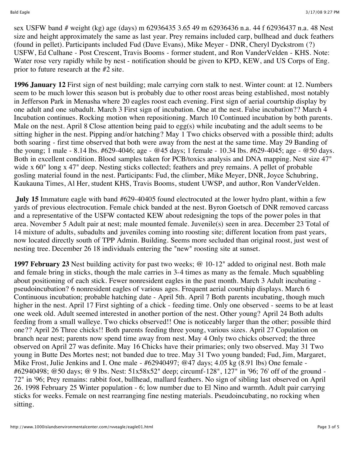sex USFW band # weight (kg) age (days) m 62936435 3.65 49 m 62936436 n.a. 44 f 62936437 n.a. 48 Nest size and height approximately the same as last year. Prey remains included carp, bullhead and duck feathers (found in pellet). Participants included Fud (Dave Evans), Mike Meyer - DNR, Cheryl Dyckstrom (?) USFW, Ed Culhane - Post Crescent, Travis Booms - former student, and Ron VanderVelden - KHS. Note: Water rose very rapidly while by nest - notification should be given to KPD, KEW, and US Corps of Eng. prior to future research at the #2 site.

**1996 January 12** First sign of nest building; male carrying corn stalk to nest. Winter count: at 12. Numbers seem to be much lower this season but is probably due to other roost areas being established, most notably in Jefferson Park in Menasha where 20 eagles roost each evening. First sign of aerial courtship display by one adult and one subadult. March 3 First sign of incubation. One at the nest. False incubation?? March 4 Incubation continues. Rocking motion when repositioning. March 10 Continued incubation by both parents. Male on the nest. April 8 Close attention being paid to egg(s) while incubating and the adult seems to be sitting higher in the nest. Pipping and/or hatching? May 1 Two chicks observed with a possible third; adults both soaring - first time observed that both were away from the nest at the same time. May 29 Banding of the young; 1 male - 8.14 lbs. #629-4046; age - @45 days; 1 female - 10.34 lbs. #629-4045; age - @50 days. Both in excellent condition. Blood samples taken for PCB/toxics analysis and DNA mapping. Nest size 47" wide x 60" long x 47" deep. Nesting sticks collected; feathers and prey remains. A pellet of probable gosling material found in the nest. Participants: Fud, the climber, Mike Meyer, DNR, Joyce Schubring, Kaukauna Times, Al Her, student KHS, Travis Booms, student UWSP, and author, Ron VanderVelden.

**July 15** Immature eagle with band #629-40405 found electrocuted at the lower hydro plant, within a few yards of previous electrocution. Female chick banded at the nest. Byron Goetsch of DNR removed carcass and a representative of the USFW contacted KEW about redesigning the tops of the power poles in that area. November 5 Adult pair at nest; male mounted female. Juvenile(s) seen in area. December 23 Total of 14 mixture of adults, subadults and juveniles coming into roosting site; different location from past years, now located directly south of TPP Admin. Building. Seems more secluded than original roost, just west of nesting tree. December 26 18 individuals entering the "new" roosting site at sunset.

**1997 February 23** Nest building activity for past two weeks; @ 10-12" added to original nest. Both male and female bring in sticks, though the male carries in 3-4 times as many as the female. Much squabbling about positioning of each stick. Fewer nonresident eagles in the past month. March 3 Adult incubating pseudoincubation? 6 nonresident eagles of various ages. Frequent aerial courtship displays. March 6 Continuous incubation; probable hatching date - April 5th. April 7 Both parents incubating, though much higher in the nest. April 17 First sighting of a chick - feeding time. Only one observed - seems to be at least one week old. Adult seemed interested in another portion of the nest. Other young? April 24 Both adults feeding from a small walleye. Two chicks observed!! One is noticeably larger than the other; possible third one?? April 26 Three chicks!! Both parents feeding three young, various sizes. April 27 Copulation on branch near nest; parents now spend time away from nest. May 4 Only two chicks observed; the three observed on April 27 was definite. May 16 Chicks have their primaries; only two observed. May 31 Two young in Butte Des Mortes nest; not banded due to tree. May 31 Two young banded; Fud, Jim, Margaret, Mike Frost, Julie Jenkins and I. One male - #62940497; @47 days; 4.05 kg (8.91 lbs) One female -#62940498; @50 days; @ 9 lbs. Nest: 51x58x52" deep; circumf-128", 127" in '96; 76' off of the ground - 72" in '96; Prey remains: rabbit foot, bullhead, mallard feathers. No sign of sibling last observed on April 26. 1998 February 25 Winter population - 6; low number due to El Nino and warmth. Adult pair carrying sticks for weeks. Female on nest rearranging fine nesting materials. Pseudoincubating, no rocking when sitting.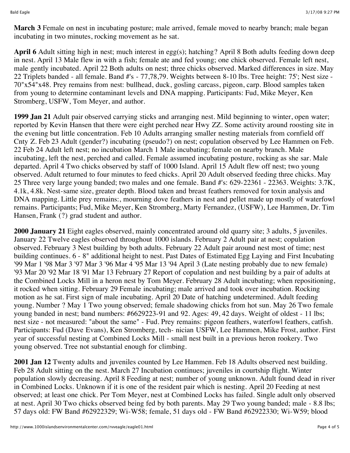**March 3** Female on nest in incubating posture; male arrived, female moved to nearby branch; male began incubating in two minutes, rocking movement as he sat.

**April 6** Adult sitting high in nest; much interest in egg(s); hatching? April 8 Both adults feeding down deep in nest. April 13 Male flew in with a fish; female ate and fed young; one chick observed. Female left nest, male gently incubated. April 22 Both adults on nest; three chicks observed. Marked differences in size. May 22 Triplets banded - all female. Band #'s - 77,78,79. Weights between 8-10 lbs. Tree height: 75'; Nest size - 70"x54"x48. Prey remains from nest: bullhead, duck, gosling carcass, pigeon, carp. Blood samples taken from young to determine contaminant levels and DNA mapping. Participants: Fud, Mike Meyer, Ken Stromberg, USFW, Tom Meyer, and author.

**1999 Jan 21** Adult pair observed carrying sticks and arranging nest. Mild beginning to winter, open water; reported by Kevin Hansen that there were eight perched near Hwy ZZ. Some activity around roosting site in the evening but little concentration. Feb 10 Adults arranging smaller nesting materials from cornfield off Cnty Z. Feb 23 Adult (gender?) incubating (pseudo?) on nest; copulation observed by Lee Hammen on Feb. 22 Feb 24 Adult left nest; no incubation March 1 Male incubating; female on nearby branch. Male incubating, left the nest, perched and called. Female assumed incubating posture, rocking as she sar. Male departed. April 4 Two chicks observed by staff of 1000 Island. April 15 Adult flew off nest; two young observed. Adult returned to four minutes to feed chicks. April 20 Adult observed feeding three chicks. May 25 Three very large young banded; two males and one female. Band #'s: 629-22361 - 22363. Weights: 3.7K, 4.1k, 4.8k. Nest-same size, greater depth. Blood taken and breast feathers removed for toxin analysis and DNA mapping. Little prey remains:, mourning dove feathers in nest and pellet made up mostly of waterfowl remains. Participants; Fud, Mike Meyer, Ken Stromberg, Marty Fernandez, (USFW), Lee Hammen, Dr. Tim Hansen, Frank (?) grad student and author.

**2000 January 21** Eight eagles observed, mainly concentrated around old quarry site; 3 adults, 5 juveniles. January 22 Twelve eagles observed throughout 1000 islands. February 2 Adult pair at nest; copulation observed. February 3 Nest building by both adults. February 22 Adult pair around nest most of time; nest building continues. 6 - 8" additional height to nest. Past Dates of Estimated Egg Laying and First Incubating '99 Mar 1 '98 Mar 3 '97 Mar 3 '96 Mar 4 '95 Mar 13 '94 April 3 (Late nesting probably due to new female) '93 Mar 20 '92 Mar 18 '91 Mar 13 February 27 Report of copulation and nest building by a pair of adults at the Combined Locks Mill in a heron nest by Tom Meyer. February 28 Adult incubating; when repositioning, it rocked when sitting. February 29 Female incubating; male arrived and took over incubation. Rocking motion as he sat. First sign of male incubating. April 20 Date of hatching undetermined. Adult feeding young. Number ? May 1 Two young observed; female shadowing chicks from hot sun. May 26 Two female young banded in nest; band numbers: #6629223-91 and 92. Ages: 49, 42 days. Weight of oldest - 11 lbs; nest size - not measured: "about the same" - Fud. Prey remains: pigeon feathers, waterfowl feathers, catfish. Participants: Fud (Dave Evans), Ken Stromberg, tech- nician USFW, Lee Hammen, Mike Frost, author. First year of successful nesting at Combined Locks Mill - small nest built in a previous heron rookery. Two young observed. Tree not substantial enough for climbing.

**2001 Jan 12** Twenty adults and juveniles counted by Lee Hammen. Feb 18 Adults observed nest building. Feb 28 Adult sitting on the nest. March 27 Incubation continues; juveniles in courtship flight. Winter population slowly decreasing. April 8 Feeding at nest; number of young unknown. Adult found dead in river in Combined Locks. Unknown if it is one of the resident pair which is nesting. April 20 Feeding at nest observed; at least one chick. Per Tom Meyer, nest at Combined Locks has failed. Single adult only observed at nest. April 30 Two chicks observed being fed by both parents. May 29 Two young banded; male - 8.8 lbs; 57 days old: FW Band #62922329; Wi-W58; female, 51 days old - FW Band #62922330; Wi-W59; blood